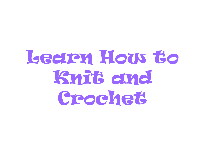# Learn How to Knit and Crochet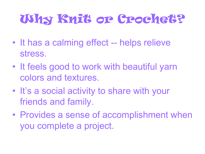#### Why Knit or Crochet?

- It has a calming effect -- helps relieve stress.
- It feels good to work with beautiful yarn colors and textures.
- It's a social activity to share with your friends and family.
- Provides a sense of accomplishment when you complete a project.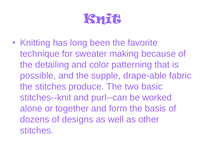

• Knitting has long been the favorite technique for sweater making because of the detailing and color patterning that is possible, and the supple, drape-able fabric the stitches produce. The two basic stitches--knit and purl--can be worked alone or together and form the basis of dozens of designs as well as other stitches.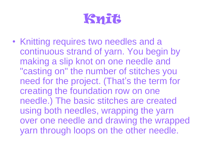

• Knitting requires two needles and a continuous strand of yarn. You begin by making a slip knot on one needle and "casting on" the number of stitches you need for the project. (That's the term for creating the foundation row on one needle.) The basic stitches are created using both needles, wrapping the yarn over one needle and drawing the wrapped yarn through loops on the other needle.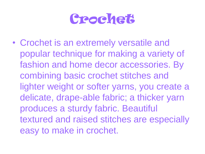#### Crochet

• Crochet is an extremely versatile and popular technique for making a variety of fashion and home decor accessories. By combining basic crochet stitches and lighter weight or softer yarns, you create a delicate, drape-able fabric; a thicker yarn produces a sturdy fabric. Beautiful textured and raised stitches are especially easy to make in crochet.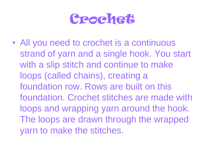#### Crochet

• All you need to crochet is a continuous strand of yarn and a single hook. You start with a slip stitch and continue to make loops (called chains), creating a foundation row. Rows are built on this foundation. Crochet stitches are made with loops and wrapping yarn around the hook. The loops are drawn through the wrapped yarn to make the stitches.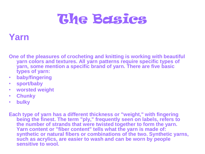### The Basics

#### **Yarn**

**One of the pleasures of crocheting and knitting is working with beautiful yarn colors and textures. All yarn patterns require specific types of yarn, some mention a specific brand of yarn. There are five basic types of yarn:** 

- **baby/fingering**
- **sport/baby**
- **worsted weight**
- **Chunky**
- **bulky**

**Each type of yarn has a different thickness or "weight," with fingering being the finest. The term "ply," frequently seen on labels, refers to the number of strands that were twisted together to form the yarn. Yarn content or "fiber content" tells what the yarn is made of: synthetic or natural fibers or combinations of the two. Synthetic yarns, such as acrylics, are easier to wash and can be worn by people sensitive to wool.**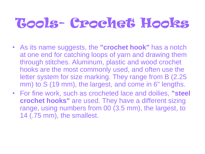# Tools- Crochet Hooks

- As its name suggests, the **"crochet hook"** has a notch at one end for catching loops of yarn and drawing them through stitches. Aluminum, plastic and wood crochet hooks are the most commonly used, and often use the letter system for size marking. They range from B (2.25 mm) to S (19 mm), the largest, and come in 6" lengths.
- For fine work, such as crocheted lace and doilies, **"steel crochet hooks"** are used. They have a different sizing range, using numbers from 00 (3.5 mm), the largest, to 14 (.75 mm), the smallest.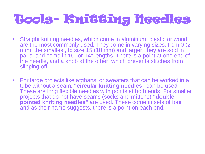### Tools- Knitting Needles

- Straight knitting needles, which come in aluminum, plastic or wood, are the most commonly used. They come in varying sizes, from 0 (2) mm), the smallest, to size 15 (10 mm) and larger; they are sold in pairs, and come in 10" or 14" lengths. There is a point at one end of the needle, and a knob at the other, which prevents stitches from slipping off.
- For large projects like afghans, or sweaters that can be worked in a tube without a seam, **"circular knitting needles"** can be used. These are long flexible needles with points at both ends. For smaller projects that do not have seams (socks and mittens) **"doublepointed knitting needles"** are used. These come in sets of four and as their name suggests, there is a point on each end.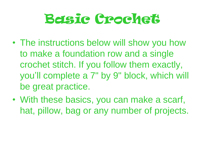# Basic Crochet

- The instructions below will show you how to make a foundation row and a single crochet stitch. If you follow them exactly, you'll complete a 7" by 9" block, which will be great practice.
- With these basics, you can make a scarf, hat, pillow, bag or any number of projects.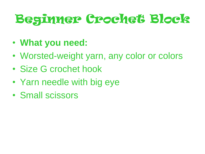### Beginner Crochet Block

- **What you need:**
- Worsted-weight yarn, any color or colors
- Size G crochet hook
- Yarn needle with big eye
- Small scissors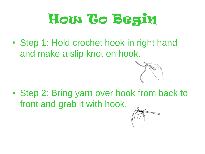

• Step 1: Hold crochet hook in right hand and make a slip knot on hook.



• Step 2: Bring yarn over hook from back to front and grab it with hook.

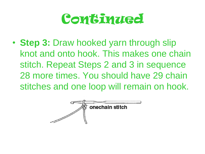#### **Continued**

• **Step 3:** Draw hooked yarn through slip knot and onto hook. This makes one chain stitch. Repeat Steps 2 and 3 in sequence 28 more times. You should have 29 chain stitches and one loop will remain on hook.

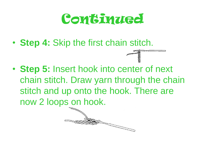#### **Continued**

• **Step 4:** Skip the first chain stitch.

• **Step 5:** Insert hook into center of next chain stitch. Draw yarn through the chain stitch and up onto the hook. There are now 2 loops on hook.

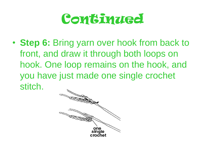

• **Step 6:** Bring yarn over hook from back to front, and draw it through both loops on hook. One loop remains on the hook, and you have just made one single crochet stitch.

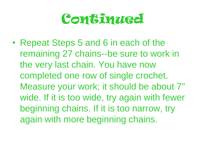#### **Continued**

• Repeat Steps 5 and 6 in each of the remaining 27 chains--be sure to work in the very last chain. You have now completed one row of single crochet. Measure your work; it should be about 7" wide. If it is too wide, try again with fewer beginning chains. If it is too narrow, try again with more beginning chains.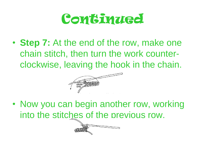

• **Step 7:** At the end of the row, make one chain stitch, then turn the work counterclockwise, leaving the hook in the chain.



• Now you can begin another row, working into the stitches of the previous row.

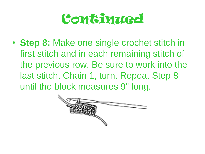#### **Continued**

• **Step 8:** Make one single crochet stitch in first stitch and in each remaining stitch of the previous row. Be sure to work into the last stitch. Chain 1, turn. Repeat Step 8 until the block measures 9" long.

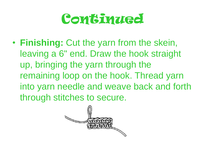#### **Continued**

• **Finishing:** Cut the yarn from the skein, leaving a 6" end. Draw the hook straight up, bringing the yarn through the remaining loop on the hook. Thread yarn into yarn needle and weave back and forth through stitches to secure.

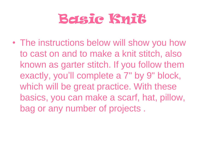### Basic Knit

• The instructions below will show you how to cast on and to make a knit stitch, also known as garter stitch. If you follow them exactly, you'll complete a 7" by 9" block, which will be great practice. With these basics, you can make a scarf, hat, pillow, bag or any number of projects .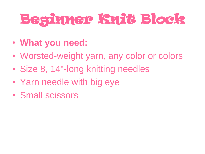# Beginner Knit Block

- **What you need:**
- Worsted-weight yarn, any color or colors
- Size 8, 14"-long knitting needles
- Yarn needle with big eye
- Small scissors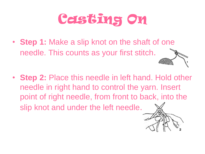- **Step 1:** Make a slip knot on the shaft of one needle. This counts as your first stitch.
- **Step 2:** Place this needle in left hand. Hold other needle in right hand to control the yarn. Insert point of right needle, from front to back, into the slip knot and under the left needle.

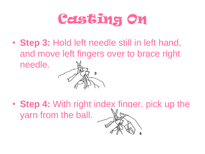• **Step 3:** Hold left needle still in left hand, and move left fingers over to brace right needle.

• **Step 4:** With right index finger, pick up the yarn from the ball.

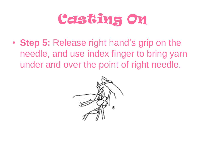• **Step 5:** Release right hand's grip on the needle, and use index finger to bring yarn under and over the point of right needle.

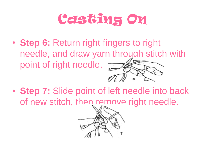- **Step 6:** Return right fingers to right needle, and draw yarn through stitch with point of right needle.
- **Step 7:** Slide point of left needle into back of new stitch, then remove right needle.

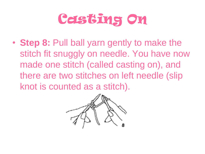• **Step 8:** Pull ball yarn gently to make the stitch fit snuggly on needle. You have now made one stitch (called casting on), and there are two stitches on left needle (slip knot is counted as a stitch).

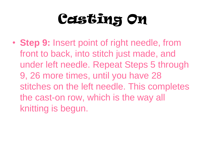• **Step 9:** Insert point of right needle, from front to back, into stitch just made, and under left needle. Repeat Steps 5 through 9, 26 more times, until you have 28 stitches on the left needle. This completes the cast-on row, which is the way all knitting is begun.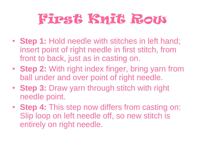# First Knit Row

- **Step 1:** Hold needle with stitches in left hand; insert point of right needle in first stitch, from front to back, just as in casting on.
- **Step 2:** With right index finger, bring yarn from ball under and over point of right needle.
- **Step 3:** Draw yarn through stitch with right needle point.
- **Step 4:** This step now differs from casting on: Slip loop on left needle off, so new stitch is entirely on right needle.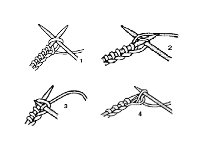





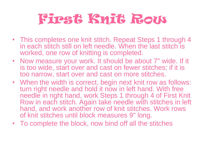# First Knit Row

- This completes one knit stitch. Repeat Steps 1 through 4 in each stitch still on left needle. When the last stitch is worked, one row of knitting is completed.
- Now measure your work. It should be about 7" wide. If it is too wide, start over and cast on fewer stitches; if it is too narrow, start over and cast on more stitches.
- When the width is correct, begin next knit row as follows: turn right needle and hold it now in left hand. With free needle in right hand, work Steps 1 through 4 of First Knit Row in each stitch. Again take needle with stitches in left hand, and work another row of knit stitches. Work rows of knit stitches until block measures 9" long.
- To complete the block, now bind off all the stitches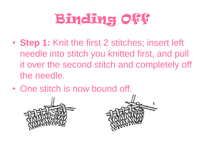# Binding Off

- **Step 1:** Knit the first 2 stitches; insert left needle into stitch you knitted first, and pull it over the second stitch and completely off the needle.
- One stitch is now bound off.



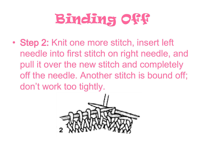# Binding Off

• Step 2: Knit one more stitch, insert left needle into first stitch on right needle, and pull it over the new stitch and completely off the needle. Another stitch is bound off; don't work too tightly.

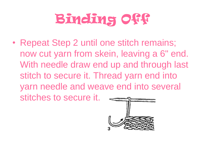# Binding Off

• Repeat Step 2 until one stitch remains; now cut yarn from skein, leaving a 6" end. With needle draw end up and through last stitch to secure it. Thread yarn end into yarn needle and weave end into several stitches to secure it.

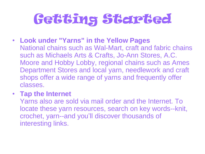# Getting Started

- **Look under "Yarns" in the Yellow Pages** National chains such as Wal-Mart, craft and fabric chains such as Michaels Arts & Crafts, Jo-Ann Stores, A.C. Moore and Hobby Lobby, regional chains such as Ames Department Stores and local yarn, needlework and craft shops offer a wide range of yarns and frequently offer classes.
- **Tap the Internet**

Yarns also are sold via mail order and the Internet. To locate these yarn resources, search on key words--knit, crochet, yarn--and you'll discover thousands of interesting links.